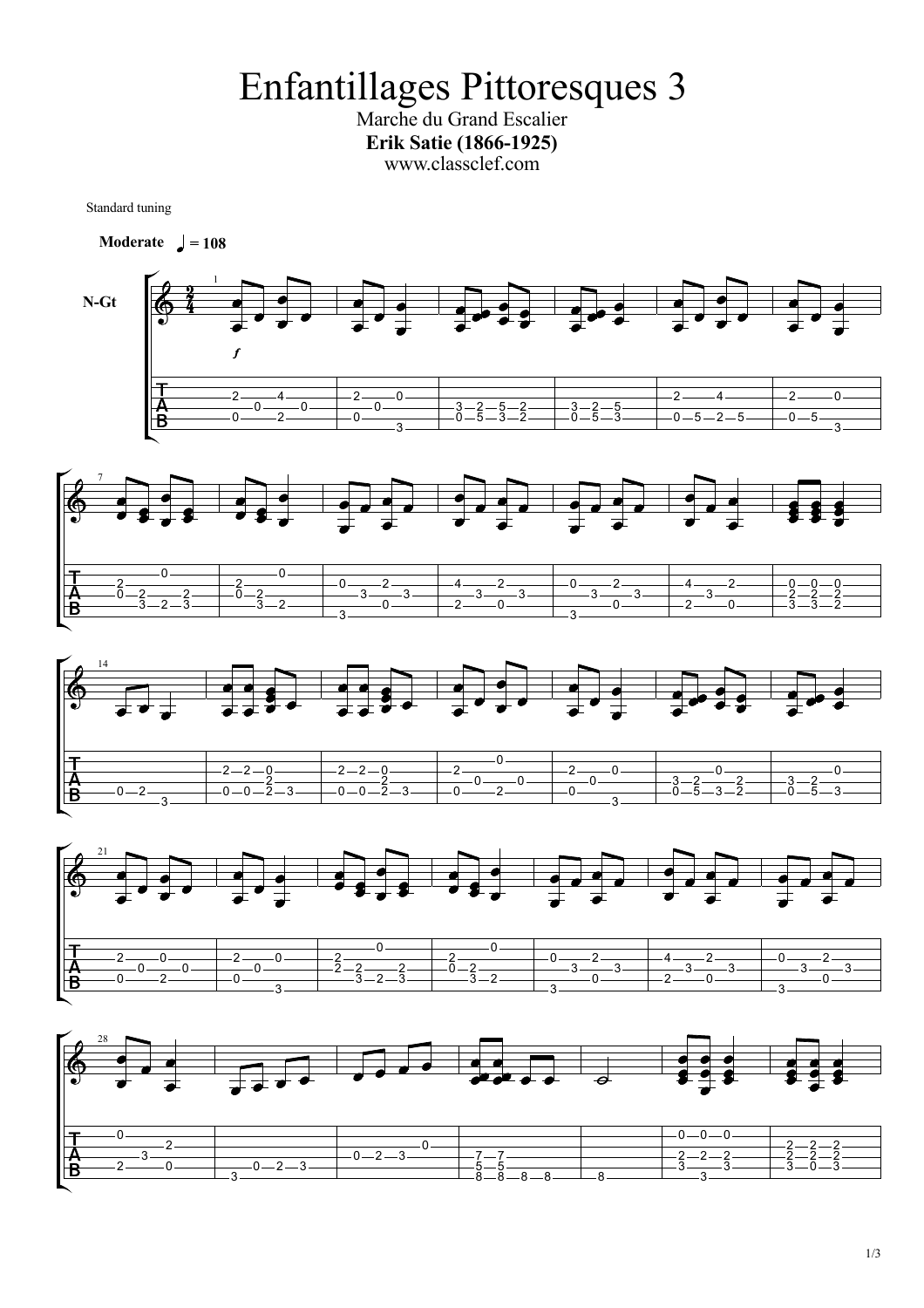Enfantillages Pittoresques 3

Marche du Grand Escalier **Erik Satie (1866-1925)** www.classclef.com

Standard tuning

**Moderate**  $=$  **108**  $\overline{1}$   $\overline{2}$  $2 - 4$   $-$  2  $\frac{4}{0}$  -  $\frac{2}{0}$  -  $\frac{2}{0}$  - $0$   $\overline{0}$   $\overline{\phantom{0}}$   $\overline{\phantom{0}}$   $\overline{\phantom{0}}$   $\overline{\phantom{0}}$   $\overline{\phantom{0}}$   $\overline{\phantom{0}}$   $\overline{\phantom{0}}$   $\overline{\phantom{0}}$   $\overline{\phantom{0}}$   $\overline{\phantom{0}}$   $\overline{\phantom{0}}$   $\overline{\phantom{0}}$   $\overline{\phantom{0}}$   $\overline{\phantom{0}}$   $\overline{\phantom{0}}$   $\overline{\phantom{0}}$   $\overline{\phantom{0}}$   $\overline{\phantom{$  $2 \longrightarrow 0 \longrightarrow$  $\begin{array}{c|c}\n2 & -0 \\
\hline\n0 & -3 & -2 & -5 \\
\hline\n0 & -6 & -3 & -3\n\end{array}$  0 2 5  $\begin{array}{@{}c@{\hspace{1em}}c@{\hspace{1em}}c@{\hspace{1em}}c@{\hspace{1em}}c@{\hspace{1em}}c@{\hspace{1em}}c@{\hspace{1em}}c@{\hspace{1em}}c@{\hspace{1em}}c@{\hspace{1em}}c@{\hspace{1em}}c@{\hspace{1em}}c@{\hspace{1em}}c@{\hspace{1em}}c@{\hspace{1em}}c@{\hspace{1em}}c@{\hspace{1em}}c@{\hspace{1em}}c@{\hspace{1em}}c@{\hspace{1em}}c@{\hspace{1em}}c@{\hspace{1em}}c@{\hspace{1em}}c@{\hspace{$  $2 - 5$ <br> $5 - 3$   $0 - 5 - 2 - 5$   $0 - 5$  $-4$   $-$ 2 — 0 —  $-0 - 5$  $\overline{0}$   $\overline{\phantom{0}}$  $3 \longrightarrow$ **N-Gt**







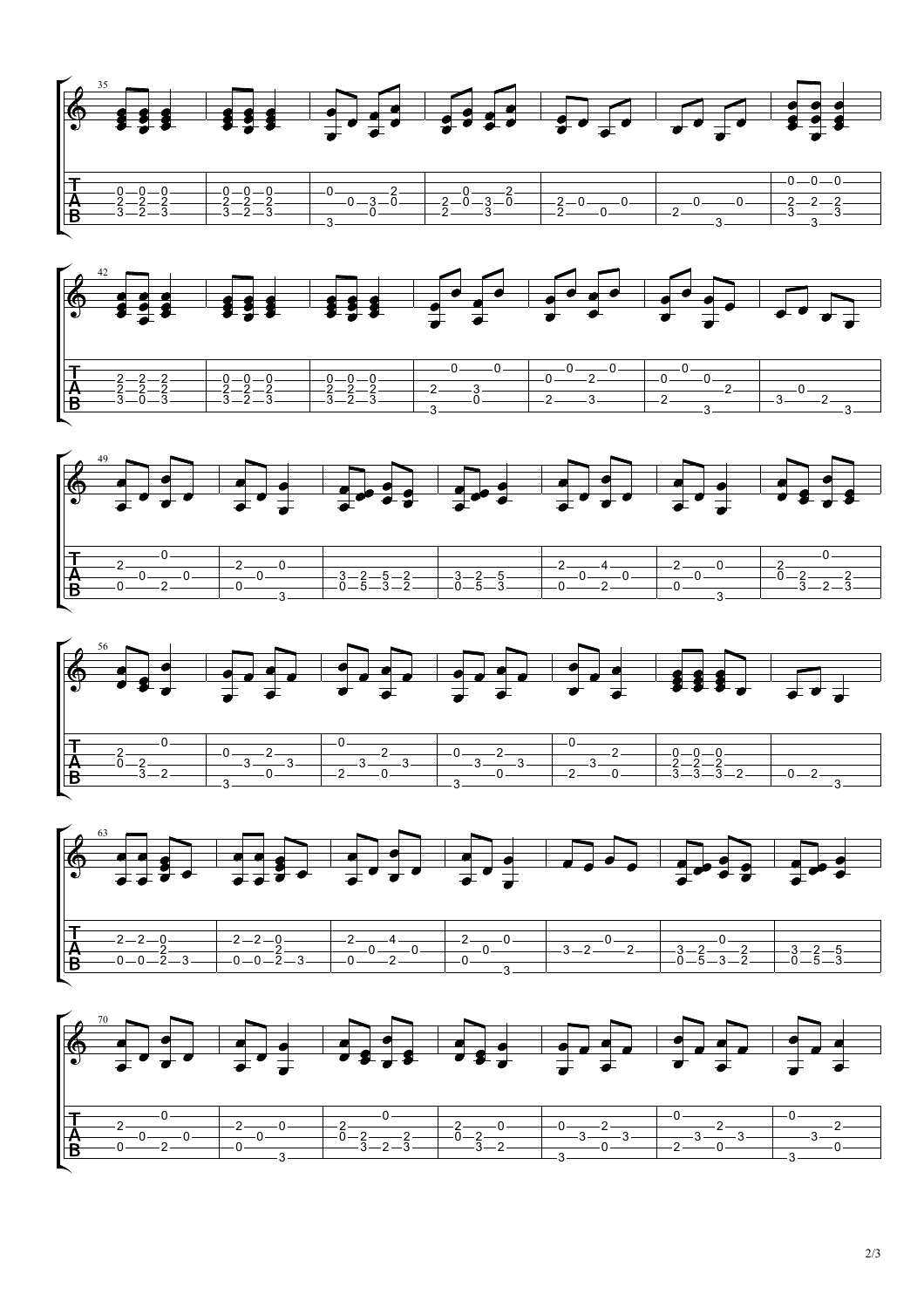